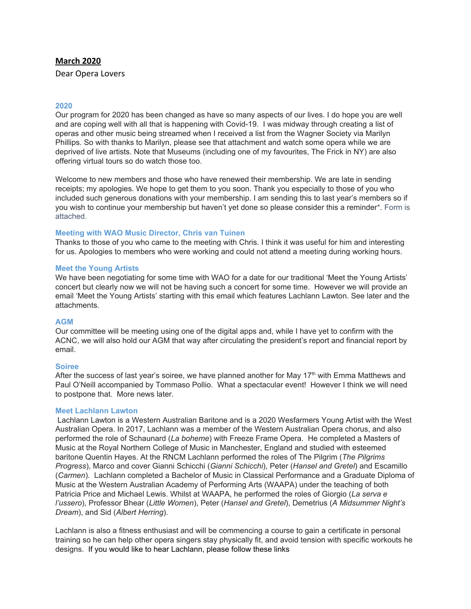## **March 2020**

Dear Opera Lovers

### **2020**

Our program for 2020 has been changed as have so many aspects of our lives. I do hope you are well and are coping well with all that is happening with Covid-19. I was midway through creating a list of operas and other music being streamed when I received a list from the Wagner Society via Marilyn Phillips. So with thanks to Marilyn, please see that attachment and watch some opera while we are deprived of live artists. Note that Museums (including one of my favourites, The Frick in NY) are also offering virtual tours so do watch those too.

Welcome to new members and those who have renewed their membership. We are late in sending receipts; my apologies. We hope to get them to you soon. Thank you especially to those of you who included such generous donations with your membership. I am sending this to last year's members so if you wish to continue your membership but haven't yet done so please consider this a reminder\*. Form is attached.

#### **Meeting with WAO Music Director, Chris van Tuinen**

Thanks to those of you who came to the meeting with Chris. I think it was useful for him and interesting for us. Apologies to members who were working and could not attend a meeting during working hours.

### **Meet the Young Artists**

We have been negotiating for some time with WAO for a date for our traditional 'Meet the Young Artists' concert but clearly now we will not be having such a concert for some time. However we will provide an email 'Meet the Young Artists' starting with this email which features Lachlann Lawton. See later and the attachments.

#### **AGM**

Our committee will be meeting using one of the digital apps and, while I have yet to confirm with the ACNC, we will also hold our AGM that way after circulating the president's report and financial report by email.

#### **Soiree**

After the success of last year's soiree, we have planned another for May 17<sup>th</sup> with Emma Matthews and Paul O'Neill accompanied by Tommaso Pollio. What a spectacular event! However I think we will need to postpone that. More news later.

# **Meet Lachlann Lawton**

Lachlann Lawton is a Western Australian Baritone and is a 2020 Wesfarmers Young Artist with the West Australian Opera. In 2017, Lachlann was a member of the Western Australian Opera chorus, and also performed the role of Schaunard (*La boheme*) with Freeze Frame Opera. He completed a Masters of Music at the Royal Northern College of Music in Manchester, England and studied with esteemed baritone Quentin Hayes. At the RNCM Lachlann performed the roles of The Pilgrim (*The Pilgrims Progress*), Marco and cover Gianni Schicchi (*Gianni Schicchi*), Peter (*Hansel and Gretel*) and Escamillo (*Carmen*). Lachlann completed a Bachelor of Music in Classical Performance and a Graduate Diploma of Music at the Western Australian Academy of Performing Arts (WAAPA) under the teaching of both Patricia Price and Michael Lewis. Whilst at WAAPA, he performed the roles of Giorgio (*La serva e l'ussero*), Professor Bhear (*Little Women*), Peter (*Hansel and Gretel*), Demetrius (*A Midsummer Night's Dream*), and Sid (*Albert Herring*).

Lachlann is also a fitness enthusiast and will be commencing a course to gain a certificate in personal training so he can help other opera singers stay physically fit, and avoid tension with specific workouts he designs. If you would like to hear Lachlann, please follow these links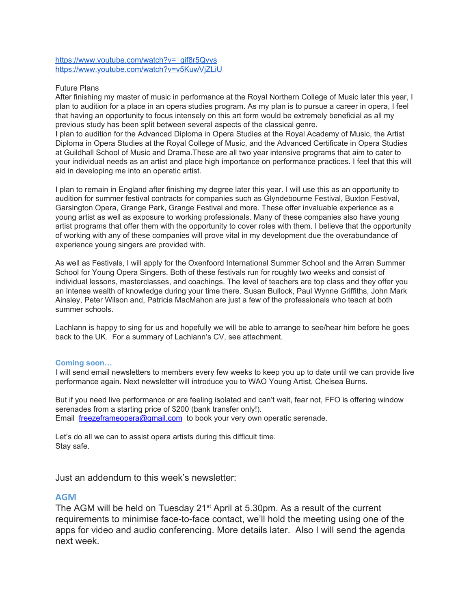[https://www.youtube.com/watch?v=\\_qif8r5Qvys](https://www.youtube.com/watch?v=_qif8r5Qvys) <https://www.youtube.com/watch?v=v5KuwVjZLiU>

### Future Plans

After finishing my master of music in performance at the Royal Northern College of Music later this year, I plan to audition for a place in an opera studies program. As my plan is to pursue a career in opera, I feel that having an opportunity to focus intensely on this art form would be extremely beneficial as all my previous study has been split between several aspects of the classical genre.

I plan to audition for the Advanced Diploma in Opera Studies at the Royal Academy of Music, the Artist Diploma in Opera Studies at the Royal College of Music, and the Advanced Certificate in Opera Studies at Guildhall School of Music and Drama.These are all two year intensive programs that aim to cater to your individual needs as an artist and place high importance on performance practices. I feel that this will aid in developing me into an operatic artist.

I plan to remain in England after finishing my degree later this year. I will use this as an opportunity to audition for summer festival contracts for companies such as Glyndebourne Festival, Buxton Festival, Garsington Opera, Grange Park, Grange Festival and more. These offer invaluable experience as a young artist as well as exposure to working professionals. Many of these companies also have young artist programs that offer them with the opportunity to cover roles with them. I believe that the opportunity of working with any of these companies will prove vital in my development due the overabundance of experience young singers are provided with.

As well as Festivals, I will apply for the Oxenfoord International Summer School and the Arran Summer School for Young Opera Singers. Both of these festivals run for roughly two weeks and consist of individual lessons, masterclasses, and coachings. The level of teachers are top class and they offer you an intense wealth of knowledge during your time there. Susan Bullock, Paul Wynne Griffiths, John Mark Ainsley, Peter Wilson and, Patricia MacMahon are just a few of the professionals who teach at both summer schools.

Lachlann is happy to sing for us and hopefully we will be able to arrange to see/hear him before he goes back to the UK. For a summary of Lachlann's CV, see attachment.

### **Coming soon…**

I will send email newsletters to members every few weeks to keep you up to date until we can provide live performance again. Next newsletter will introduce you to WAO Young Artist, Chelsea Burns.

But if you need live performance or are feeling isolated and can't wait, fear not, FFO is offering window serenades from a starting price of \$200 (bank transfer only!). Email: [freezeframeopera@gmail.com](https://freezeframeopera.us13.list-manage.com/track/click?u=c312515e5af4c262f3e880a71&id=3fef4e2f8e&e=c4968eacef) to book your very own operatic serenade.

Let's do all we can to assist opera artists during this difficult time. Stay safe.

Just an addendum to this week's newsletter:

### **AGM**

The AGM will be held on Tuesday 21<sup>st</sup> April at 5.30pm. As a result of the current requirements to minimise face-to-face contact, we'll hold the meeting using one of the apps for video and audio conferencing. More details later. Also I will send the agenda next week.